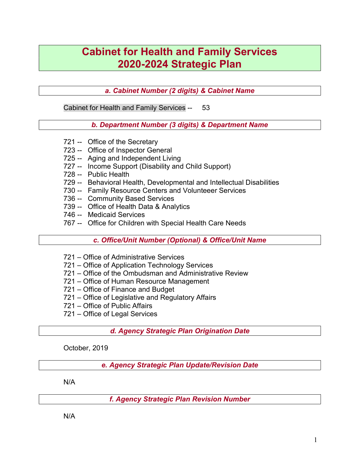# Cabinet for Health and Family Services 2020-2024 Strategic Plan

a. Cabinet Number (2 digits) & Cabinet Name

Cabinet for Health and Family Services -- 53

b. Department Number (3 digits) & Department Name

- 721 -- Office of the Secretary
- 723 -- Office of Inspector General
- 725 -- Aging and Independent Living
- 727 -- Income Support (Disability and Child Support)
- 728 -- Public Health
- 729 -- Behavioral Health, Developmental and Intellectual Disabilities
- 730 -- Family Resource Centers and Volunteeer Services
- 736 -- Community Based Services
- 739 -- Office of Health Data & Analytics
- 746 -- Medicaid Services
- 767 -- Office for Children with Special Health Care Needs

c. Office/Unit Number (Optional) & Office/Unit Name

- 721 Office of Administrative Services
- 721 Office of Application Technology Services
- 721 Office of the Ombudsman and Administrative Review
- 721 Office of Human Resource Management
- 721 Office of Finance and Budget
- 721 Office of Legislative and Regulatory Affairs
- 721 Office of Public Affairs
- 721 Office of Legal Services

d. Agency Strategic Plan Origination Date

October, 2019

e. Agency Strategic Plan Update/Revision Date

N/A

f. Agency Strategic Plan Revision Number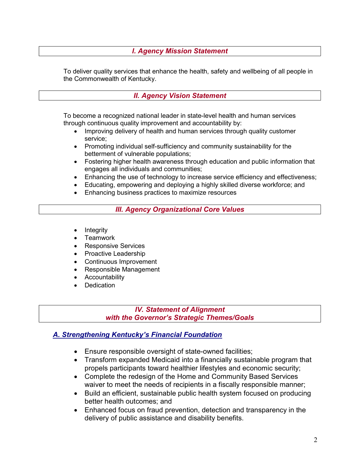#### I. Agency Mission Statement

To deliver quality services that enhance the health, safety and wellbeing of all people in the Commonwealth of Kentucky.

#### II. Agency Vision Statement

To become a recognized national leader in state-level health and human services through continuous quality improvement and accountability by:

- Improving delivery of health and human services through quality customer service;
- Promoting individual self-sufficiency and community sustainability for the betterment of vulnerable populations;
- Fostering higher health awareness through education and public information that engages all individuals and communities;
- Enhancing the use of technology to increase service efficiency and effectiveness;
- Educating, empowering and deploying a highly skilled diverse workforce; and
- Enhancing business practices to maximize resources

III. Agency Organizational Core Values

- $\bullet$  Integrity
- **Teamwork**
- Responsive Services
- Proactive Leadership
- Continuous Improvement
- Responsible Management
- Accountability
- **Dedication**

#### IV. Statement of Alignment with the Governor's Strategic Themes/Goals

#### A. Strengthening Kentucky's Financial Foundation

- Ensure responsible oversight of state-owned facilities;
- Transform expanded Medicaid into a financially sustainable program that propels participants toward healthier lifestyles and economic security;
- Complete the redesign of the Home and Community Based Services waiver to meet the needs of recipients in a fiscally responsible manner;
- Build an efficient, sustainable public health system focused on producing better health outcomes; and
- Enhanced focus on fraud prevention, detection and transparency in the delivery of public assistance and disability benefits.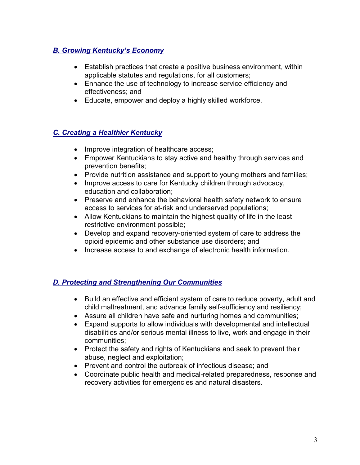# **B. Growing Kentucky's Economy**

- Establish practices that create a positive business environment, within applicable statutes and regulations, for all customers;
- Enhance the use of technology to increase service efficiency and effectiveness; and
- Educate, empower and deploy a highly skilled workforce.

# C. Creating a Healthier Kentucky

- Improve integration of healthcare access;
- Empower Kentuckians to stay active and healthy through services and prevention benefits;
- Provide nutrition assistance and support to young mothers and families;
- Improve access to care for Kentucky children through advocacy, education and collaboration;
- Preserve and enhance the behavioral health safety network to ensure access to services for at-risk and underserved populations;
- Allow Kentuckians to maintain the highest quality of life in the least restrictive environment possible;
- Develop and expand recovery-oriented system of care to address the opioid epidemic and other substance use disorders; and
- Increase access to and exchange of electronic health information.

# D. Protecting and Strengthening Our Communities

- Build an effective and efficient system of care to reduce poverty, adult and child maltreatment, and advance family self-sufficiency and resiliency;
- Assure all children have safe and nurturing homes and communities;
- Expand supports to allow individuals with developmental and intellectual disabilities and/or serious mental illness to live, work and engage in their communities;
- Protect the safety and rights of Kentuckians and seek to prevent their abuse, neglect and exploitation;
- Prevent and control the outbreak of infectious disease; and
- Coordinate public health and medical-related preparedness, response and recovery activities for emergencies and natural disasters.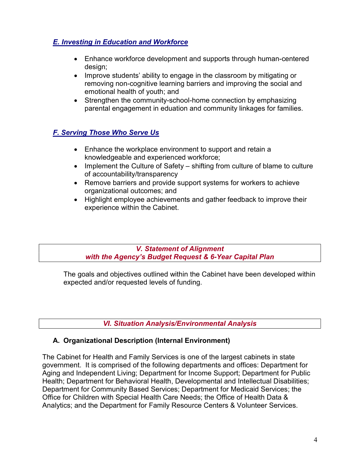# E. Investing in Education and Workforce

- Enhance workforce development and supports through human-centered design;
- Improve students' ability to engage in the classroom by mitigating or removing non-cognitive learning barriers and improving the social and emotional health of youth; and
- Strengthen the community-school-home connection by emphasizing parental engagement in eduation and community linkages for families.

# F. Serving Those Who Serve Us

- Enhance the workplace environment to support and retain a knowledgeable and experienced workforce;
- Implement the Culture of Safety shifting from culture of blame to culture of accountability/transparency
- Remove barriers and provide support systems for workers to achieve organizational outcomes; and
- Highlight employee achievements and gather feedback to improve their experience within the Cabinet.

#### V. Statement of Alignment with the Agency's Budget Request & 6-Year Capital Plan

The goals and objectives outlined within the Cabinet have been developed within expected and/or requested levels of funding.

VI. Situation Analysis/Environmental Analysis

# A. Organizational Description (Internal Environment)

The Cabinet for Health and Family Services is one of the largest cabinets in state government. It is comprised of the following departments and offices: Department for Aging and Independent Living; Department for Income Support; Department for Public Health; Department for Behavioral Health, Developmental and Intellectual Disabilities; Department for Community Based Services; Department for Medicaid Services; the Office for Children with Special Health Care Needs; the Office of Health Data & Analytics; and the Department for Family Resource Centers & Volunteer Services.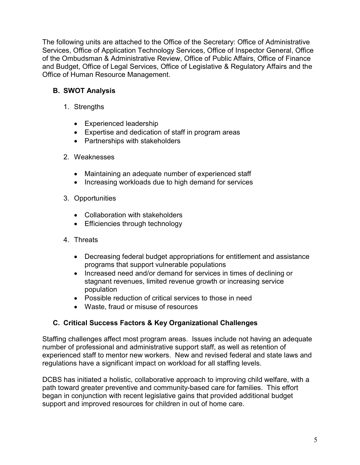The following units are attached to the Office of the Secretary: Office of Administrative Services, Office of Application Technology Services, Office of Inspector General, Office of the Ombudsman & Administrative Review, Office of Public Affairs, Office of Finance and Budget, Office of Legal Services, Office of Legislative & Regulatory Affairs and the Office of Human Resource Management.

# B. SWOT Analysis

- 1. Strengths
	- Experienced leadership
	- Expertise and dedication of staff in program areas
	- Partnerships with stakeholders
- 2. Weaknesses
	- Maintaining an adequate number of experienced staff
	- Increasing workloads due to high demand for services
- 3. Opportunities
	- Collaboration with stakeholders
	- Efficiencies through technology
- 4. Threats
	- Decreasing federal budget appropriations for entitlement and assistance programs that support vulnerable populations
	- Increased need and/or demand for services in times of declining or stagnant revenues, limited revenue growth or increasing service population
	- Possible reduction of critical services to those in need
	- Waste, fraud or misuse of resources

# C. Critical Success Factors & Key Organizational Challenges

Staffing challenges affect most program areas. Issues include not having an adequate number of professional and administrative support staff, as well as retention of experienced staff to mentor new workers. New and revised federal and state laws and regulations have a significant impact on workload for all staffing levels.

DCBS has initiated a holistic, collaborative approach to improving child welfare, with a path toward greater preventive and community-based care for families. This effort began in conjunction with recent legislative gains that provided additional budget support and improved resources for children in out of home care.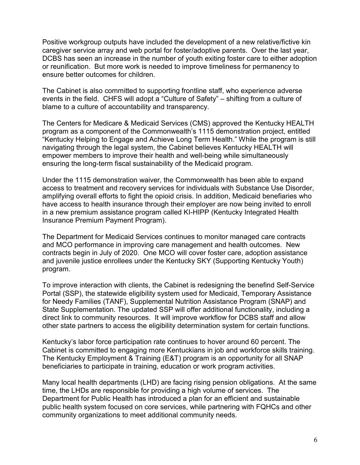Positive workgroup outputs have included the development of a new relative/fictive kin caregiver service array and web portal for foster/adoptive parents. Over the last year, DCBS has seen an increase in the number of youth exiting foster care to either adoption or reunification. But more work is needed to improve timeliness for permanency to ensure better outcomes for children.

The Cabinet is also committed to supporting frontline staff, who experience adverse events in the field. CHFS will adopt a "Culture of Safety" – shifting from a culture of blame to a culture of accountability and transparency.

The Centers for Medicare & Medicaid Services (CMS) approved the Kentucky HEALTH program as a component of the Commonwealth's 1115 demonstration project, entitled "Kentucky Helping to Engage and Achieve Long Term Health." While the program is still navigating through the legal system, the Cabinet believes Kentucky HEALTH will empower members to improve their health and well-being while simultaneously ensuring the long-term fiscal sustainability of the Medicaid program.

Under the 1115 demonstration waiver, the Commonwealth has been able to expand access to treatment and recovery services for individuals with Substance Use Disorder, amplifying overall efforts to fight the opioid crisis. In addition, Medicaid benefiaries who have access to health insurance through their employer are now being invited to enroll in a new premium assistance program called KI-HIPP (Kentucky Integrated Health Insurance Premium Payment Program).

The Department for Medicaid Services continues to monitor managed care contracts and MCO performance in improving care management and health outcomes. New contracts begin in July of 2020. One MCO will cover foster care, adoption assistance and juvenile justice enrollees under the Kentucky SKY (Supporting Kentucky Youth) program.

To improve interaction with clients, the Cabinet is redesigning the benefind Self-Service Portal (SSP), the statewide eligibility system used for Medicaid, Temporary Assistance for Needy Families (TANF), Supplemental Nutrition Assistance Program (SNAP) and State Supplementation. The updated SSP will offer additional functionality, including a direct link to community resources. It will improve workflow for DCBS staff and allow other state partners to access the eligibility determination system for certain functions.

Kentucky's labor force participation rate continues to hover around 60 percent. The Cabinet is committed to engaging more Kentuckians in job and workforce skills training. The Kentucky Employment & Training (E&T) program is an opportunity for all SNAP beneficiaries to participate in training, education or work program activities.

Many local health departments (LHD) are facing rising pension obligations. At the same time, the LHDs are responsible for providing a high volume of services. The Department for Public Health has introduced a plan for an efficient and sustainable public health system focused on core services, while partnering with FQHCs and other community organizations to meet additional community needs.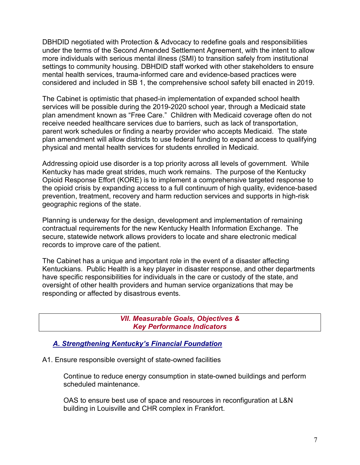DBHDID negotiated with Protection & Advocacy to redefine goals and responsibilities under the terms of the Second Amended Settlement Agreement, with the intent to allow more individuals with serious mental illness (SMI) to transition safely from institutional settings to community housing. DBHDID staff worked with other stakeholders to ensure mental health services, trauma-informed care and evidence-based practices were considered and included in SB 1, the comprehensive school safety bill enacted in 2019.

The Cabinet is optimistic that phased-in implementation of expanded school health services will be possible during the 2019-2020 school year, through a Medicaid state plan amendment known as "Free Care." Children with Medicaid coverage often do not receive needed healthcare services due to barriers, such as lack of transportation, parent work schedules or finding a nearby provider who accepts Medicaid. The state plan amendment will allow districts to use federal funding to expand access to qualifying physical and mental health services for students enrolled in Medicaid.

Addressing opioid use disorder is a top priority across all levels of government. While Kentucky has made great strides, much work remains. The purpose of the Kentucky Opioid Response Effort (KORE) is to implement a comprehensive targeted response to the opioid crisis by expanding access to a full continuum of high quality, evidence-based prevention, treatment, recovery and harm reduction services and supports in high-risk geographic regions of the state.

Planning is underway for the design, development and implementation of remaining contractual requirements for the new Kentucky Health Information Exchange. The secure, statewide network allows providers to locate and share electronic medical records to improve care of the patient.

The Cabinet has a unique and important role in the event of a disaster affecting Kentuckians. Public Health is a key player in disaster response, and other departments have specific responsibilities for individuals in the care or custody of the state, and oversight of other health providers and human service organizations that may be responding or affected by disastrous events.

> VII. Measurable Goals, Objectives & Key Performance Indicators

### A. Strengthening Kentucky's Financial Foundation

A1. Ensure responsible oversight of state-owned facilities

Continue to reduce energy consumption in state-owned buildings and perform scheduled maintenance.

OAS to ensure best use of space and resources in reconfiguration at L&N building in Louisville and CHR complex in Frankfort.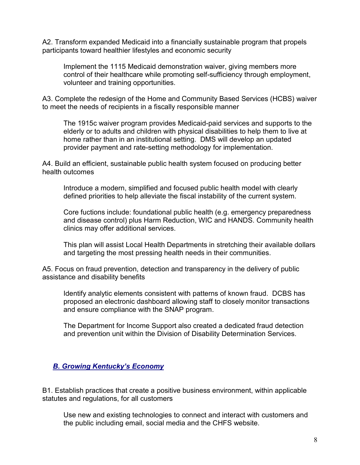A2. Transform expanded Medicaid into a financially sustainable program that propels participants toward healthier lifestyles and economic security

Implement the 1115 Medicaid demonstration waiver, giving members more control of their healthcare while promoting self-sufficiency through employment, volunteer and training opportunities.

A3. Complete the redesign of the Home and Community Based Services (HCBS) waiver to meet the needs of recipients in a fiscally responsible manner

The 1915c waiver program provides Medicaid-paid services and supports to the elderly or to adults and children with physical disabilities to help them to live at home rather than in an institutional setting. DMS will develop an updated provider payment and rate-setting methodology for implementation.

A4. Build an efficient, sustainable public health system focused on producing better health outcomes

Introduce a modern, simplified and focused public health model with clearly defined priorities to help alleviate the fiscal instability of the current system.

Core fuctions include: foundational public health (e.g. emergency preparedness and disease control) plus Harm Reduction, WIC and HANDS. Community health clinics may offer additional services.

This plan will assist Local Health Departments in stretching their available dollars and targeting the most pressing health needs in their communities.

A5. Focus on fraud prevention, detection and transparency in the delivery of public assistance and disability benefits

Identify analytic elements consistent with patterns of known fraud. DCBS has proposed an electronic dashboard allowing staff to closely monitor transactions and ensure compliance with the SNAP program.

The Department for Income Support also created a dedicated fraud detection and prevention unit within the Division of Disability Determination Services.

### B. Growing Kentucky's Economy

B1. Establish practices that create a positive business environment, within applicable statutes and regulations, for all customers

Use new and existing technologies to connect and interact with customers and the public including email, social media and the CHFS website.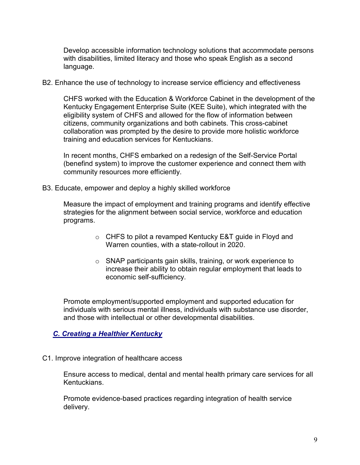Develop accessible information technology solutions that accommodate persons with disabilities, limited literacy and those who speak English as a second language.

B2. Enhance the use of technology to increase service efficiency and effectiveness

CHFS worked with the Education & Workforce Cabinet in the development of the Kentucky Engagement Enterprise Suite (KEE Suite), which integrated with the eligibility system of CHFS and allowed for the flow of information between citizens, community organizations and both cabinets. This cross-cabinet collaboration was prompted by the desire to provide more holistic workforce training and education services for Kentuckians.

In recent months, CHFS embarked on a redesign of the Self-Service Portal (benefind system) to improve the customer experience and connect them with community resources more efficiently.

B3. Educate, empower and deploy a highly skilled workforce

Measure the impact of employment and training programs and identify effective strategies for the alignment between social service, workforce and education programs.

- o CHFS to pilot a revamped Kentucky E&T guide in Floyd and Warren counties, with a state-rollout in 2020.
- o SNAP participants gain skills, training, or work experience to increase their ability to obtain regular employment that leads to economic self-sufficiency.

Promote employment/supported employment and supported education for individuals with serious mental illness, individuals with substance use disorder, and those with intellectual or other developmental disabilities.

# C. Creating a Healthier Kentucky

C1. Improve integration of healthcare access

Ensure access to medical, dental and mental health primary care services for all Kentuckians.

Promote evidence-based practices regarding integration of health service delivery.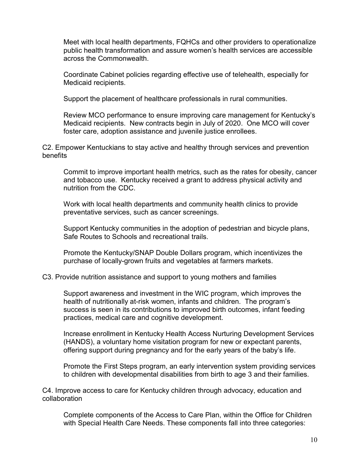Meet with local health departments, FQHCs and other providers to operationalize public health transformation and assure women's health services are accessible across the Commonwealth.

Coordinate Cabinet policies regarding effective use of telehealth, especially for Medicaid recipients.

Support the placement of healthcare professionals in rural communities.

Review MCO performance to ensure improving care management for Kentucky's Medicaid recipients. New contracts begin in July of 2020. One MCO will cover foster care, adoption assistance and juvenile justice enrollees.

C2. Empower Kentuckians to stay active and healthy through services and prevention benefits

Commit to improve important health metrics, such as the rates for obesity, cancer and tobacco use. Kentucky received a grant to address physical activity and nutrition from the CDC.

Work with local health departments and community health clinics to provide preventative services, such as cancer screenings.

Support Kentucky communities in the adoption of pedestrian and bicycle plans, Safe Routes to Schools and recreational trails.

Promote the Kentucky/SNAP Double Dollars program, which incentivizes the purchase of locally-grown fruits and vegetables at farmers markets.

C3. Provide nutrition assistance and support to young mothers and families

Support awareness and investment in the WIC program, which improves the health of nutritionally at-risk women, infants and children. The program's success is seen in its contributions to improved birth outcomes, infant feeding practices, medical care and cognitive development.

Increase enrollment in Kentucky Health Access Nurturing Development Services (HANDS), a voluntary home visitation program for new or expectant parents, offering support during pregnancy and for the early years of the baby's life.

Promote the First Steps program, an early intervention system providing services to children with developmental disabilities from birth to age 3 and their families.

C4. Improve access to care for Kentucky children through advocacy, education and collaboration

Complete components of the Access to Care Plan, within the Office for Children with Special Health Care Needs. These components fall into three categories: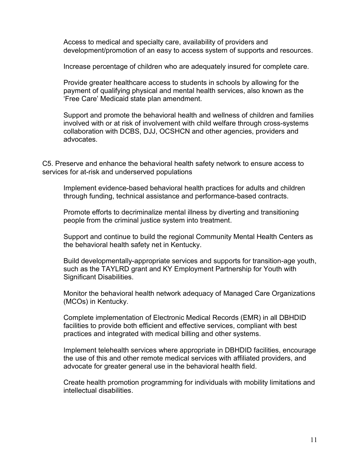Access to medical and specialty care, availability of providers and development/promotion of an easy to access system of supports and resources.

Increase percentage of children who are adequately insured for complete care.

Provide greater healthcare access to students in schools by allowing for the payment of qualifying physical and mental health services, also known as the 'Free Care' Medicaid state plan amendment.

Support and promote the behavioral health and wellness of children and families involved with or at risk of involvement with child welfare through cross-systems collaboration with DCBS, DJJ, OCSHCN and other agencies, providers and advocates.

C5. Preserve and enhance the behavioral health safety network to ensure access to services for at-risk and underserved populations

Implement evidence-based behavioral health practices for adults and children through funding, technical assistance and performance-based contracts.

Promote efforts to decriminalize mental illness by diverting and transitioning people from the criminal justice system into treatment.

Support and continue to build the regional Community Mental Health Centers as the behavioral health safety net in Kentucky.

Build developmentally-appropriate services and supports for transition-age youth, such as the TAYLRD grant and KY Employment Partnership for Youth with Significant Disabilities.

Monitor the behavioral health network adequacy of Managed Care Organizations (MCOs) in Kentucky.

Complete implementation of Electronic Medical Records (EMR) in all DBHDID facilities to provide both efficient and effective services, compliant with best practices and integrated with medical billing and other systems.

Implement telehealth services where appropriate in DBHDID facilities, encourage the use of this and other remote medical services with affiliated providers, and advocate for greater general use in the behavioral health field.

Create health promotion programming for individuals with mobility limitations and intellectual disabilities.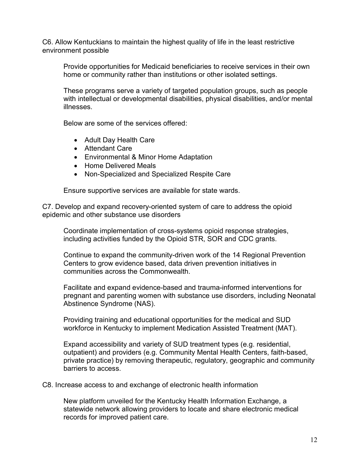C6. Allow Kentuckians to maintain the highest quality of life in the least restrictive environment possible

Provide opportunities for Medicaid beneficiaries to receive services in their own home or community rather than institutions or other isolated settings.

These programs serve a variety of targeted population groups, such as people with intellectual or developmental disabilities, physical disabilities, and/or mental illnesses.

Below are some of the services offered:

- Adult Day Health Care
- Attendant Care
- Environmental & Minor Home Adaptation
- Home Delivered Meals
- Non-Specialized and Specialized Respite Care

Ensure supportive services are available for state wards.

C7. Develop and expand recovery-oriented system of care to address the opioid epidemic and other substance use disorders

Coordinate implementation of cross-systems opioid response strategies, including activities funded by the Opioid STR, SOR and CDC grants.

Continue to expand the community-driven work of the 14 Regional Prevention Centers to grow evidence based, data driven prevention initiatives in communities across the Commonwealth.

Facilitate and expand evidence-based and trauma-informed interventions for pregnant and parenting women with substance use disorders, including Neonatal Abstinence Syndrome (NAS).

Providing training and educational opportunities for the medical and SUD workforce in Kentucky to implement Medication Assisted Treatment (MAT).

Expand accessibility and variety of SUD treatment types (e.g. residential, outpatient) and providers (e.g. Community Mental Health Centers, faith-based, private practice) by removing therapeutic, regulatory, geographic and community barriers to access.

C8. Increase access to and exchange of electronic health information

New platform unveiled for the Kentucky Health Information Exchange, a statewide network allowing providers to locate and share electronic medical records for improved patient care.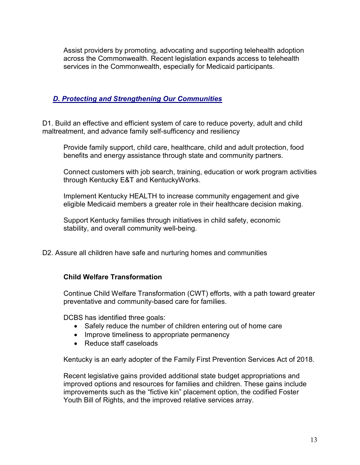Assist providers by promoting, advocating and supporting telehealth adoption across the Commonwealth. Recent legislation expands access to telehealth services in the Commonwealth, especially for Medicaid participants.

### D. Protecting and Strengthening Our Communities

D1. Build an effective and efficient system of care to reduce poverty, adult and child maltreatment, and advance family self-sufficency and resiliency

Provide family support, child care, healthcare, child and adult protection, food benefits and energy assistance through state and community partners.

Connect customers with job search, training, education or work program activities through Kentucky E&T and KentuckyWorks.

Implement Kentucky HEALTH to increase community engagement and give eligible Medicaid members a greater role in their healthcare decision making.

Support Kentucky families through initiatives in child safety, economic stability, and overall community well-being.

D2. Assure all children have safe and nurturing homes and communities

### Child Welfare Transformation

Continue Child Welfare Transformation (CWT) efforts, with a path toward greater preventative and community-based care for families.

DCBS has identified three goals:

- Safely reduce the number of children entering out of home care
- Improve timeliness to appropriate permanency
- Reduce staff caseloads

Kentucky is an early adopter of the Family First Prevention Services Act of 2018.

Recent legislative gains provided additional state budget appropriations and improved options and resources for families and children. These gains include improvements such as the "fictive kin" placement option, the codified Foster Youth Bill of Rights, and the improved relative services array.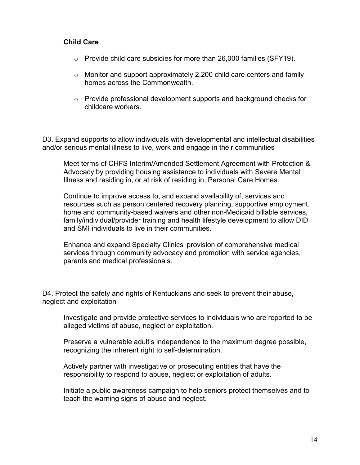#### Child Care

- o Provide child care subsidies for more than 26,000 families (SFY19).
- o Monitor and support approximately 2,200 child care centers and family homes across the Commonwealth.
- $\circ$  Provide professional development supports and background checks for childcare workers.

D3. Expand supports to allow individuals with developmental and intellectual disabilities and/or serious mental illness to live, work and engage in their communities

Meet terms of CHFS Interim/Amended Settlement Agreement with Protection & Advocacy by providing housing assistance to individuals with Severe Mental Illness and residing in, or at risk of residing in, Personal Care Homes.

Continue to improve access to, and expand availability of, services and resources such as person centered recovery planning, supportive employment, home and community-based waivers and other non-Medicaid billable services, family/individual/provider training and health lifestyle development to allow DID and SMI individuals to live in their communities.

Enhance and expand Specialty Clinics' provision of comprehensive medical services through community advocacy and promotion with service agencies, parents and medical professionals.

D4. Protect the safety and rights of Kentuckians and seek to prevent their abuse, neglect and exploitation

Investigate and provide protective services to individuals who are reported to be alleged victims of abuse, neglect or exploitation.

Preserve a vulnerable adult's independence to the maximum degree possible, recognizing the inherent right to self-determination.

Actively partner with investigative or prosecuting entities that have the responsibility to respond to abuse, neglect or exploitation of adults.

Initiate a public awareness campaign to help seniors protect themselves and to teach the warning signs of abuse and neglect.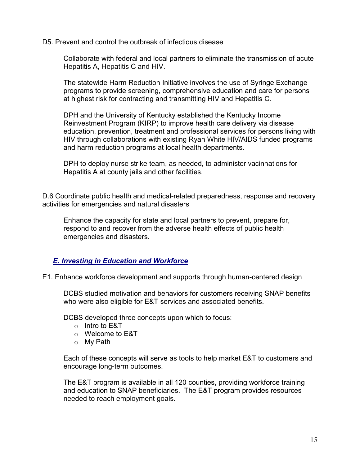D5. Prevent and control the outbreak of infectious disease

Collaborate with federal and local partners to eliminate the transmission of acute Hepatitis A, Hepatitis C and HIV.

The statewide Harm Reduction Initiative involves the use of Syringe Exchange programs to provide screening, comprehensive education and care for persons at highest risk for contracting and transmitting HIV and Hepatitis C.

DPH and the University of Kentucky established the Kentucky Income Reinvestment Program (KIRP) to improve health care delivery via disease education, prevention, treatment and professional services for persons living with HIV through collaborations with existing Ryan White HIV/AIDS funded programs and harm reduction programs at local health departments.

DPH to deploy nurse strike team, as needed, to administer vacinnations for Hepatitis A at county jails and other facilities.

D.6 Coordinate public health and medical-related preparedness, response and recovery activities for emergencies and natural disasters

Enhance the capacity for state and local partners to prevent, prepare for, respond to and recover from the adverse health effects of public health emergencies and disasters.

### E. Investing in Education and Workforce

E1. Enhance workforce development and supports through human-centered design

DCBS studied motivation and behaviors for customers receiving SNAP benefits who were also eligible for E&T services and associated benefits.

DCBS developed three concepts upon which to focus:

- $\circ$  Intro to F&T
- o Welcome to E&T
- o My Path

Each of these concepts will serve as tools to help market E&T to customers and encourage long-term outcomes.

The E&T program is available in all 120 counties, providing workforce training and education to SNAP beneficiaries. The E&T program provides resources needed to reach employment goals.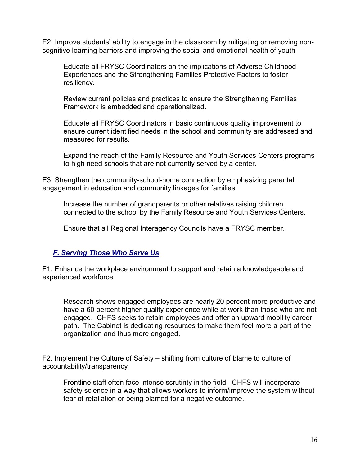E2. Improve students' ability to engage in the classroom by mitigating or removing noncognitive learning barriers and improving the social and emotional health of youth

Educate all FRYSC Coordinators on the implications of Adverse Childhood Experiences and the Strengthening Families Protective Factors to foster resiliency.

Review current policies and practices to ensure the Strengthening Families Framework is embedded and operationalized.

Educate all FRYSC Coordinators in basic continuous quality improvement to ensure current identified needs in the school and community are addressed and measured for results.

Expand the reach of the Family Resource and Youth Services Centers programs to high need schools that are not currently served by a center.

E3. Strengthen the community-school-home connection by emphasizing parental engagement in education and community linkages for families

Increase the number of grandparents or other relatives raising children connected to the school by the Family Resource and Youth Services Centers.

Ensure that all Regional Interagency Councils have a FRYSC member.

### F. Serving Those Who Serve Us

F1. Enhance the workplace environment to support and retain a knowledgeable and experienced workforce

Research shows engaged employees are nearly 20 percent more productive and have a 60 percent higher quality experience while at work than those who are not engaged. CHFS seeks to retain employees and offer an upward mobility career path. The Cabinet is dedicating resources to make them feel more a part of the organization and thus more engaged.

F2. Implement the Culture of Safety – shifting from culture of blame to culture of accountability/transparency

Frontline staff often face intense scrutinty in the field. CHFS will incorporate safety science in a way that allows workers to inform/improve the system without fear of retaliation or being blamed for a negative outcome.